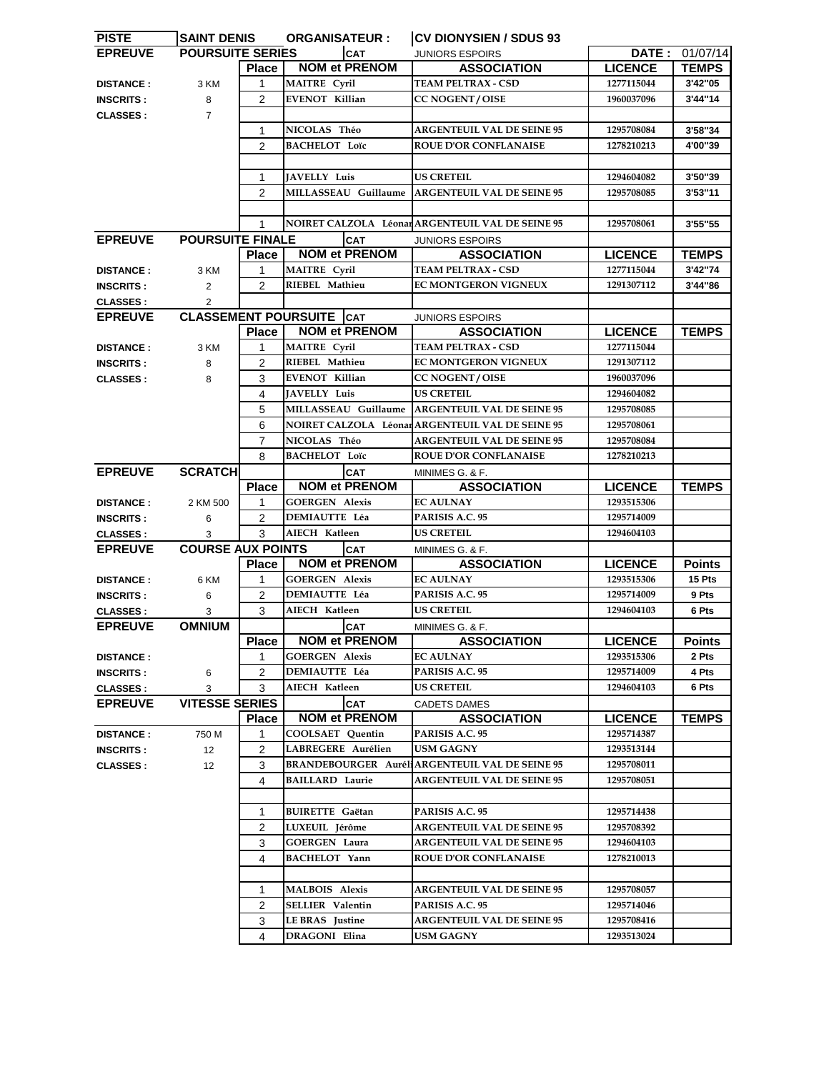| <b>PISTE</b>     | <b>SAINT DENIS</b>       |                | <b>ORGANISATEUR:</b>            | <b>CV DIONYSIEN / SDUS 93</b>                        |                |               |
|------------------|--------------------------|----------------|---------------------------------|------------------------------------------------------|----------------|---------------|
| <b>EPREUVE</b>   | <b>POURSUITE SERIES</b>  |                | <b>CAT</b>                      | <b>JUNIORS ESPOIRS</b>                               | DATE :         | 01/07/14      |
|                  |                          | <b>Place</b>   | <b>NOM et PRENOM</b>            | <b>ASSOCIATION</b>                                   | <b>LICENCE</b> | <b>TEMPS</b>  |
| <b>DISTANCE:</b> | 3 KM                     | 1              | <b>MAITRE Cyril</b>             | <b>TEAM PELTRAX - CSD</b>                            | 1277115044     | 3'42"05       |
| <b>INSCRITS:</b> | 8                        | $\overline{2}$ | <b>EVENOT Killian</b>           | <b>CC NOGENT / OISE</b>                              | 1960037096     | 3'44"14       |
| <b>CLASSES:</b>  | $\overline{7}$           |                |                                 |                                                      |                |               |
|                  |                          | $\mathbf{1}$   | NICOLAS Théo                    | <b>ARGENTEUIL VAL DE SEINE 95</b>                    | 1295708084     | 3'58"34       |
|                  |                          | $\overline{2}$ | <b>BACHELOT Loïc</b>            | <b>ROUE D'OR CONFLANAISE</b>                         | 1278210213     | 4'00"39       |
|                  |                          |                |                                 |                                                      |                |               |
|                  |                          |                |                                 | <b>US CRETEIL</b>                                    |                |               |
|                  |                          | 1              | <b>JAVELLY Luis</b>             |                                                      | 1294604082     | 3'50"39       |
|                  |                          | $\overline{2}$ | MILLASSEAU Guillaume            | <b>ARGENTEUIL VAL DE SEINE 95</b>                    | 1295708085     | 3'53"11       |
|                  |                          |                |                                 |                                                      |                |               |
|                  |                          | 1              |                                 | NOIRET CALZOLA Léonar ARGENTEUIL VAL DE SEINE 95     | 1295708061     | 3'55"55       |
| <b>EPREUVE</b>   | <b>POURSUITE FINALE</b>  |                | <b>CAT</b>                      | <b>JUNIORS ESPOIRS</b>                               |                |               |
|                  |                          | <b>Place</b>   | <b>NOM et PRENOM</b>            | <b>ASSOCIATION</b>                                   | <b>LICENCE</b> | <b>TEMPS</b>  |
| <b>DISTANCE:</b> | 3 KM                     | $\mathbf{1}$   | <b>MAITRE</b> Cyril             | <b>TEAM PELTRAX - CSD</b>                            | 1277115044     | 3'42"74       |
| <b>INSCRITS:</b> | $\overline{2}$           | $\overline{2}$ | RIEBEL Mathieu                  | EC MONTGERON VIGNEUX                                 | 1291307112     | 3'44"86       |
| <b>CLASSES:</b>  | $\overline{2}$           |                |                                 |                                                      |                |               |
| <b>EPREUVE</b>   |                          |                | <b>CLASSEMENT POURSUITE CAT</b> | <b>JUNIORS ESPOIRS</b>                               |                |               |
|                  |                          | <b>Place</b>   | <b>NOM et PRENOM</b>            | <b>ASSOCIATION</b>                                   | <b>LICENCE</b> | <b>TEMPS</b>  |
| <b>DISTANCE:</b> | 3 KM                     | 1              | <b>MAITRE</b> Cyril             | <b>TEAM PELTRAX - CSD</b>                            | 1277115044     |               |
| <b>INSCRITS:</b> | 8                        | $\overline{2}$ | RIEBEL Mathieu                  | EC MONTGERON VIGNEUX                                 | 1291307112     |               |
| <b>CLASSES:</b>  | 8                        | 3              | <b>EVENOT Killian</b>           | <b>CC NOGENT / OISE</b>                              | 1960037096     |               |
|                  |                          | 4              | JAVELLY Luis                    | <b>US CRETEIL</b>                                    | 1294604082     |               |
|                  |                          | 5              | MILLASSEAU Guillaume            | <b>ARGENTEUIL VAL DE SEINE 95</b>                    | 1295708085     |               |
|                  |                          | 6              | NOIRET CALZOLA Léonar           | <b>ARGENTEUIL VAL DE SEINE 95</b>                    | 1295708061     |               |
|                  |                          |                |                                 |                                                      |                |               |
|                  |                          | $\overline{7}$ | NICOLAS Théo                    | <b>ARGENTEUIL VAL DE SEINE 95</b>                    | 1295708084     |               |
|                  |                          | 8              | <b>BACHELOT Loïc</b>            | <b>ROUE D'OR CONFLANAISE</b>                         | 1278210213     |               |
| <b>EPREUVE</b>   | <b>SCRATCH</b>           |                | <b>CAT</b>                      | MINIMES G. & F.                                      |                |               |
|                  |                          | <b>Place</b>   | <b>NOM et PRENOM</b>            | <b>ASSOCIATION</b>                                   | <b>LICENCE</b> | <b>TEMPS</b>  |
| <b>DISTANCE:</b> | 2 KM 500                 | 1              | <b>GOERGEN Alexis</b>           | <b>EC AULNAY</b>                                     | 1293515306     |               |
| <b>INSCRITS:</b> | 6                        | 2              | <b>DEMIAUTTE Léa</b>            | PARISIS A.C. 95                                      | 1295714009     |               |
| <b>CLASSES:</b>  | 3                        | 3              | <b>AIECH Katleen</b>            | <b>US CRETEIL</b>                                    | 1294604103     |               |
| <b>EPREUVE</b>   | <b>COURSE AUX POINTS</b> |                | <b>CAT</b>                      | MINIMES G. & F.                                      |                |               |
|                  |                          | <b>Place</b>   | <b>NOM et PRENOM</b>            | <b>ASSOCIATION</b>                                   | <b>LICENCE</b> | <b>Points</b> |
| <b>DISTANCE:</b> | 6 KM                     | 1              | <b>GOERGEN Alexis</b>           | <b>EC AULNAY</b>                                     | 1293515306     | 15 Pts        |
| <b>INSCRITS:</b> | 6                        | 2              | <b>DEMIAUTTE Léa</b>            | PARISIS A.C. 95                                      | 1295714009     | 9 Pts         |
| <b>CLASSES:</b>  | 3                        | 3              | AIECH Katleen                   | <b>US CRETEIL</b>                                    | 1294604103     | 6 Pts         |
| <b>EPREUVE</b>   | <b>OMNIUM</b>            |                | <b>CAT</b>                      | MINIMES G. & F.                                      |                |               |
|                  |                          | <b>Place</b>   | <b>NOM et PRENOM</b>            | <b>ASSOCIATION</b>                                   | <b>LICENCE</b> | <b>Points</b> |
| <b>DISTANCE:</b> |                          | 1              | <b>GOERGEN Alexis</b>           | <b>EC AULNAY</b>                                     | 1293515306     | 2 Pts         |
| <b>INSCRITS:</b> | 6                        | 2              | <b>DEMIAUTTE Léa</b>            | PARISIS A.C. 95                                      | 1295714009     | 4 Pts         |
| <b>CLASSES:</b>  | 3                        | 3              | <b>AIECH Katleen</b>            | <b>US CRETEIL</b>                                    | 1294604103     | 6 Pts         |
| <b>EPREUVE</b>   | <b>VITESSE SERIES</b>    |                | <b>CAT</b>                      | <b>CADETS DAMES</b>                                  |                |               |
|                  |                          | <b>Place</b>   | <b>NOM et PRENOM</b>            | <b>ASSOCIATION</b>                                   | <b>LICENCE</b> | <b>TEMPS</b>  |
| <b>DISTANCE:</b> | 750 M                    | 1              | <b>COOLSAET Quentin</b>         | PARISIS A.C. 95                                      | 1295714387     |               |
|                  | 12                       | 2              | LABREGERE Aurélien              | <b>USM GAGNY</b>                                     | 1293513144     |               |
| <b>INSCRITS:</b> |                          |                |                                 | <b>BRANDEBOURGER AuréHARGENTEUIL VAL DE SEINE 95</b> | 1295708011     |               |
| <b>CLASSES:</b>  | 12 <sup>°</sup>          | 3              |                                 |                                                      |                |               |
|                  |                          | 4              | <b>BAILLARD Laurie</b>          | <b>ARGENTEUIL VAL DE SEINE 95</b>                    | 1295708051     |               |
|                  |                          |                |                                 |                                                      |                |               |
|                  |                          | 1              | <b>BUIRETTE Gaëtan</b>          | PARISIS A.C. 95                                      | 1295714438     |               |
|                  |                          | 2              | LUXEUIL Jérôme                  | <b>ARGENTEUIL VAL DE SEINE 95</b>                    | 1295708392     |               |
|                  |                          | 3              | <b>GOERGEN Laura</b>            | <b>ARGENTEUIL VAL DE SEINE 95</b>                    | 1294604103     |               |
|                  |                          | 4              | <b>BACHELOT Yann</b>            | <b>ROUE D'OR CONFLANAISE</b>                         | 1278210013     |               |
|                  |                          |                |                                 |                                                      |                |               |
|                  |                          | 1              | <b>MALBOIS Alexis</b>           | <b>ARGENTEUIL VAL DE SEINE 95</b>                    | 1295708057     |               |
|                  |                          | $\overline{2}$ | <b>SELLIER Valentin</b>         | PARISIS A.C. 95                                      | 1295714046     |               |
|                  |                          | 3              | <b>LE BRAS</b> Justine          | <b>ARGENTEUIL VAL DE SEINE 95</b>                    | 1295708416     |               |
|                  |                          | 4              | DRAGONI Elina                   | USM GAGNY                                            | 1293513024     |               |
|                  |                          |                |                                 |                                                      |                |               |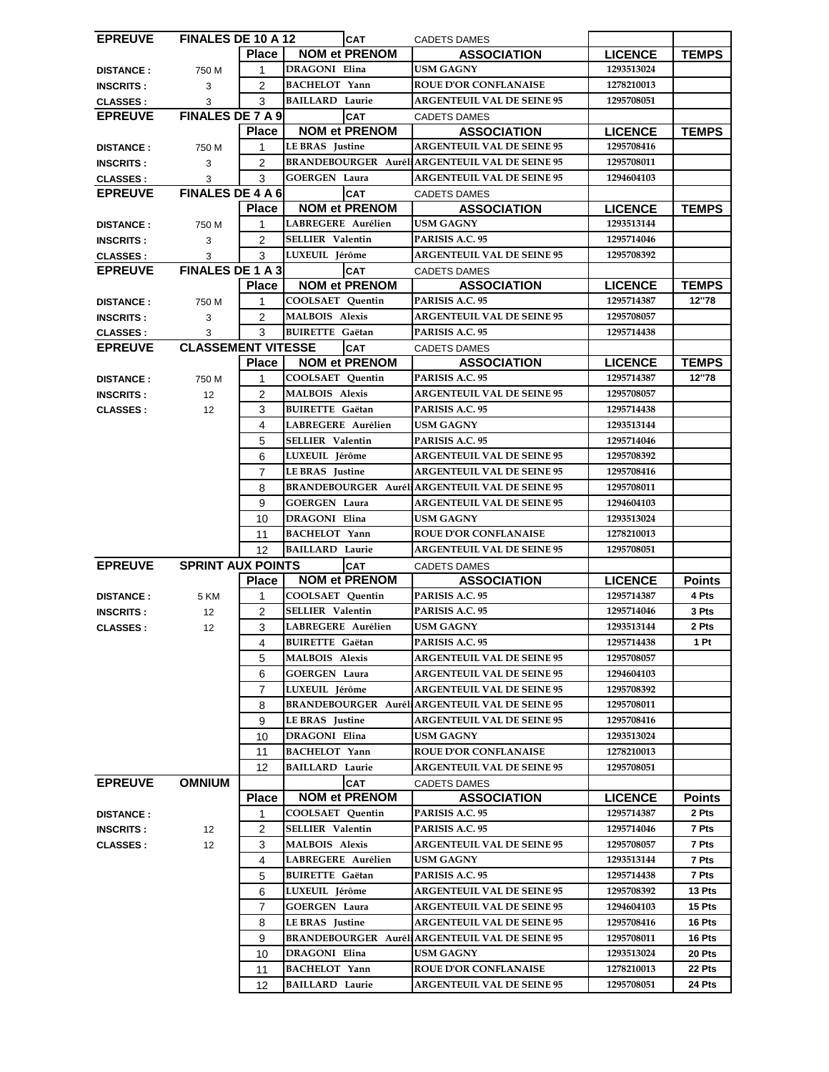| <b>EPREUVE</b>   | <b>FINALES DE 10 A 12</b> |                | <b>CAT</b>              |  | <b>CADETS DAMES</b>                                   |                |               |
|------------------|---------------------------|----------------|-------------------------|--|-------------------------------------------------------|----------------|---------------|
|                  |                           | <b>Place</b>   | <b>NOM et PRENOM</b>    |  | <b>ASSOCIATION</b>                                    | <b>LICENCE</b> | <b>TEMPS</b>  |
| <b>DISTANCE:</b> | 750 M                     | $\mathbf{1}$   | DRAGONI Elina           |  | <b>USM GAGNY</b>                                      | 1293513024     |               |
|                  |                           | $\overline{2}$ | <b>BACHELOT</b> Yann    |  | <b>ROUE D'OR CONFLANAISE</b>                          |                |               |
| <b>INSCRITS:</b> | 3                         |                |                         |  |                                                       | 1278210013     |               |
| <b>CLASSES:</b>  | 3                         | 3              | <b>BAILLARD Laurie</b>  |  | <b>ARGENTEUIL VAL DE SEINE 95</b>                     | 1295708051     |               |
| <b>EPREUVE</b>   | <b>FINALES DE 7 A 9</b>   |                | <b>CAT</b>              |  | <b>CADETS DAMES</b>                                   |                |               |
|                  |                           | <b>Place</b>   | <b>NOM et PRENOM</b>    |  | <b>ASSOCIATION</b>                                    | <b>LICENCE</b> | <b>TEMPS</b>  |
| <b>DISTANCE:</b> | 750 M                     | 1              | <b>LE BRAS</b> Justine  |  | <b>ARGENTEUIL VAL DE SEINE 95</b>                     | 1295708416     |               |
| <b>INSCRITS:</b> | 3                         | $\overline{2}$ |                         |  | <b>BRANDEBOURGER Aurél ARGENTEUIL VAL DE SEINE 95</b> | 1295708011     |               |
| <b>CLASSES:</b>  | 3                         | 3              | <b>GOERGEN Laura</b>    |  | <b>ARGENTEUIL VAL DE SEINE 95</b>                     | 1294604103     |               |
| <b>EPREUVE</b>   | <b>FINALES DE 4 A 6</b>   |                |                         |  |                                                       |                |               |
|                  |                           |                | <b>CAT</b>              |  | <b>CADETS DAMES</b>                                   |                |               |
|                  |                           | <b>Place</b>   | <b>NOM et PRENOM</b>    |  | <b>ASSOCIATION</b>                                    | <b>LICENCE</b> | <b>TEMPS</b>  |
| <b>DISTANCE:</b> | 750 M                     | 1              | LABREGERE Aurélien      |  | USM GAGNY                                             | 1293513144     |               |
| <b>INSCRITS:</b> | 3                         | $\overline{2}$ | <b>SELLIER Valentin</b> |  | PARISIS A.C. 95                                       | 1295714046     |               |
| <b>CLASSES:</b>  | 3                         | 3              | LUXEUIL Jérôme          |  | <b>ARGENTEUIL VAL DE SEINE 95</b>                     | 1295708392     |               |
| <b>EPREUVE</b>   | <b>FINALES DE 1 A 3</b>   |                | <b>CAT</b>              |  | <b>CADETS DAMES</b>                                   |                |               |
|                  |                           | Place          | <b>NOM et PRENOM</b>    |  | <b>ASSOCIATION</b>                                    | <b>LICENCE</b> | <b>TEMPS</b>  |
|                  |                           | 1              | <b>COOLSAET</b> Quentin |  | PARISIS A.C. 95                                       | 1295714387     | 12"78         |
| <b>DISTANCE:</b> | 750 M                     |                |                         |  |                                                       |                |               |
| <b>INSCRITS:</b> | 3                         | $\overline{2}$ | <b>MALBOIS Alexis</b>   |  | <b>ARGENTEUIL VAL DE SEINE 95</b>                     | 1295708057     |               |
| <b>CLASSES:</b>  | 3                         | 3              | <b>BUIRETTE Gaëtan</b>  |  | PARISIS A.C. 95                                       | 1295714438     |               |
| <b>EPREUVE</b>   | <b>CLASSEMENT VITESSE</b> |                | <b>CAT</b>              |  | <b>CADETS DAMES</b>                                   |                |               |
|                  |                           | <b>Place</b>   | <b>NOM et PRENOM</b>    |  | <b>ASSOCIATION</b>                                    | <b>LICENCE</b> | <b>TEMPS</b>  |
| <b>DISTANCE:</b> | 750 M                     | 1              | <b>COOLSAET</b> Quentin |  | PARISIS A.C. 95                                       | 1295714387     | 12"78         |
|                  | 12                        | $\overline{2}$ | <b>MALBOIS Alexis</b>   |  | <b>ARGENTEUIL VAL DE SEINE 95</b>                     | 1295708057     |               |
| <b>INSCRITS:</b> |                           |                |                         |  |                                                       |                |               |
| <b>CLASSES:</b>  | 12                        | 3              | <b>BUIRETTE Gaëtan</b>  |  | PARISIS A.C. 95                                       | 1295714438     |               |
|                  |                           | 4              | LABREGERE Aurélien      |  | USM GAGNY                                             | 1293513144     |               |
|                  |                           | 5              | SELLIER Valentin        |  | PARISIS A.C. 95                                       | 1295714046     |               |
|                  |                           | 6              | LUXEUIL Jérôme          |  | <b>ARGENTEUIL VAL DE SEINE 95</b>                     | 1295708392     |               |
|                  |                           | $\overline{7}$ | <b>LE BRAS</b> Justine  |  | <b>ARGENTEUIL VAL DE SEINE 95</b>                     | 1295708416     |               |
|                  |                           | 8              |                         |  | <b>BRANDEBOURGER AuréHARGENTEUIL VAL DE SEINE 95</b>  | 1295708011     |               |
|                  |                           |                |                         |  |                                                       |                |               |
|                  |                           | 9              | <b>GOERGEN Laura</b>    |  | <b>ARGENTEUIL VAL DE SEINE 95</b>                     | 1294604103     |               |
|                  |                           |                |                         |  |                                                       |                |               |
|                  |                           | 10             | DRAGONI Elina           |  | USM GAGNY                                             | 1293513024     |               |
|                  |                           | 11             | <b>BACHELOT Yann</b>    |  | <b>ROUE D'OR CONFLANAISE</b>                          | 1278210013     |               |
|                  |                           | 12             | <b>BAILLARD Laurie</b>  |  | <b>ARGENTEUIL VAL DE SEINE 95</b>                     | 1295708051     |               |
| <b>EPREUVE</b>   | <b>SPRINT AUX POINTS</b>  |                |                         |  | <b>CADETS DAMES</b>                                   |                |               |
|                  |                           |                | <b>CAT</b>              |  |                                                       |                |               |
|                  |                           | <b>Place</b>   | <b>NOM et PRENOM</b>    |  | <b>ASSOCIATION</b>                                    | <b>LICENCE</b> | <b>Points</b> |
| <b>DISTANCE:</b> | 5 KM                      | 1              | <b>COOLSAET Ouentin</b> |  | PARISIS A.C. 95                                       | 1295714387     | 4 Pts         |
| <b>INSCRITS:</b> | 12 <sup>°</sup>           | $\overline{2}$ | <b>SELLIER Valentin</b> |  | PARISIS A.C. 95                                       | 1295714046     | 3 Pts         |
| <b>CLASSES:</b>  | 12                        | 3              | LABREGERE Aurélien      |  | USM GAGNY                                             | 1293513144     | 2 Pts         |
|                  |                           | 4              | <b>BUIRETTE Gaëtan</b>  |  | PARISIS A.C. 95                                       | 1295714438     | 1 Pt          |
|                  |                           | 5              | <b>MALBOIS Alexis</b>   |  | <b>ARGENTEUIL VAL DE SEINE 95</b>                     | 1295708057     |               |
|                  |                           | 6              | <b>GOERGEN Laura</b>    |  | <b>ARGENTEUIL VAL DE SEINE 95</b>                     | 1294604103     |               |
|                  |                           |                |                         |  |                                                       |                |               |
|                  |                           | $\overline{7}$ | LUXEUIL Jérôme          |  | <b>ARGENTEUIL VAL DE SEINE 95</b>                     | 1295708392     |               |
|                  |                           | 8              |                         |  | <b>BRANDEBOURGER Aurél ARGENTEUIL VAL DE SEINE 95</b> | 1295708011     |               |
|                  |                           | 9              | <b>LE BRAS</b> Justine  |  | <b>ARGENTEUIL VAL DE SEINE 95</b>                     | 1295708416     |               |
|                  |                           | 10             | <b>DRAGONI Elina</b>    |  | USM GAGNY                                             | 1293513024     |               |
|                  |                           | 11             | BACHELOT Yann           |  | <b>ROUE D'OR CONFLANAISE</b>                          | 1278210013     |               |
|                  |                           | 12             | <b>BAILLARD Laurie</b>  |  | <b>ARGENTEUIL VAL DE SEINE 95</b>                     | 1295708051     |               |
|                  |                           |                |                         |  |                                                       |                |               |
| <b>EPREUVE</b>   | <b>OMNIUM</b>             |                | <b>CAT</b>              |  | <b>CADETS DAMES</b>                                   |                |               |
|                  |                           | <b>Place</b>   | <b>NOM et PRENOM</b>    |  | <b>ASSOCIATION</b>                                    | <b>LICENCE</b> | <b>Points</b> |
| <b>DISTANCE:</b> |                           | 1              | COOLSAET Quentin        |  | PARISIS A.C. 95                                       | 1295714387     | 2 Pts         |
| <b>INSCRITS:</b> | 12 <sup>°</sup>           | $\overline{2}$ | <b>SELLIER Valentin</b> |  | PARISIS A.C. 95                                       | 1295714046     | 7 Pts         |
| <b>CLASSES:</b>  | 12 <sup>°</sup>           | 3              | <b>MALBOIS Alexis</b>   |  | <b>ARGENTEUIL VAL DE SEINE 95</b>                     | 1295708057     | 7 Pts         |
|                  |                           | 4              | LABREGERE Aurélien      |  | USM GAGNY                                             | 1293513144     | 7 Pts         |
|                  |                           | 5              | <b>BUIRETTE Gaëtan</b>  |  | PARISIS A.C. 95                                       | 1295714438     | 7 Pts         |
|                  |                           | 6              | LUXEUIL Jérôme          |  | <b>ARGENTEUIL VAL DE SEINE 95</b>                     | 1295708392     | 13 Pts        |
|                  |                           |                |                         |  |                                                       |                |               |
|                  |                           | $\overline{7}$ | <b>GOERGEN Laura</b>    |  | <b>ARGENTEUIL VAL DE SEINE 95</b>                     | 1294604103     | 15 Pts        |
|                  |                           | 8              | <b>LE BRAS</b> Justine  |  | <b>ARGENTEUIL VAL DE SEINE 95</b>                     | 1295708416     | 16 Pts        |
|                  |                           | 9              |                         |  | <b>BRANDEBOURGER Aurél ARGENTEUIL VAL DE SEINE 95</b> | 1295708011     | 16 Pts        |
|                  |                           | 10             | <b>DRAGONI Elina</b>    |  | USM GAGNY                                             | 1293513024     | 20 Pts        |
|                  |                           | 11             | <b>BACHELOT</b> Yann    |  | <b>ROUE D'OR CONFLANAISE</b>                          | 1278210013     | 22 Pts        |
|                  |                           | 12             | <b>BAILLARD Laurie</b>  |  | <b>ARGENTEUIL VAL DE SEINE 95</b>                     | 1295708051     | 24 Pts        |